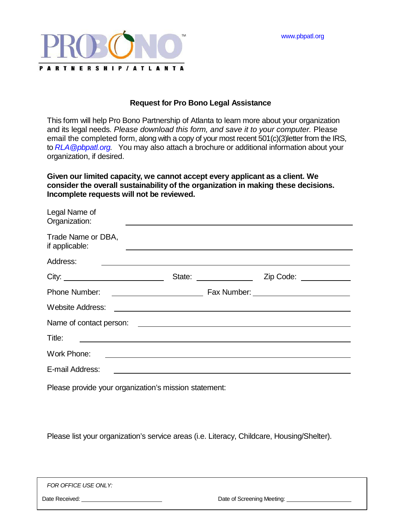[www.pbpatl.org](http://www.pbpatl.org/)



## **Request for Pro Bono Legal Assistance**

This form will help Pro Bono Partnership of Atlanta to learn more about your organization and its legal needs. *Please download this form, and save it to your computer.* Please email the completed form, along with a copy of your most recent 501(c)(3)letter from the IRS, to *[RLA@pbpatl.org.](mailto:RLA@pbpatl.org)* You may also attach a brochure or additional information about your organization, if desired.

**Given our limited capacity, we cannot accept every applicant as a client. We consider the overall sustainability of the organization in making these decisions. Incomplete requests will not be reviewed.**

| Legal Name of<br>Organization:       |                                                                                                                      |                        |  |
|--------------------------------------|----------------------------------------------------------------------------------------------------------------------|------------------------|--|
| Trade Name or DBA,<br>if applicable: | <u> 1989 - Johann Stein, marwolaethau a bhann an t-</u>                                                              |                        |  |
| Address:                             |                                                                                                                      |                        |  |
|                                      |                                                                                                                      | Zip Code: ____________ |  |
| <b>Phone Number:</b>                 |                                                                                                                      |                        |  |
| <b>Website Address:</b>              |                                                                                                                      |                        |  |
|                                      |                                                                                                                      |                        |  |
| Title:                               | <u> 1989 - Johann Barbara, martxa alemaniar amerikan a</u>                                                           |                        |  |
| Work Phone:                          | <u> 1989 - Jan James James James James James James James James James James James James James James James James J</u> |                        |  |
| E-mail Address:                      |                                                                                                                      |                        |  |

Please provide your organization's mission statement:

Please list your organization's service areas (i.e. Literacy, Childcare, Housing/Shelter).

| FOR OFFICE USE ONLY: |
|----------------------|
|----------------------|

Date Received: <u>Date Received:</u> Date of Screening Meeting: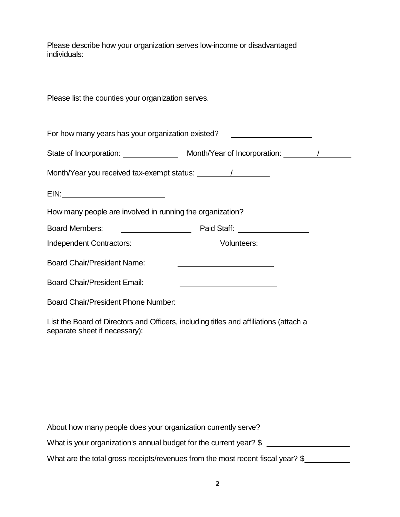Please describe how your organization serves low-income or disadvantaged individuals:

Please list the counties your organization serves.

| For how many years has your organization existed? ______________________________ |                                                                                                                                                                                                                                      |  |
|----------------------------------------------------------------------------------|--------------------------------------------------------------------------------------------------------------------------------------------------------------------------------------------------------------------------------------|--|
| State of Incorporation: _________________ Month/Year of Incorporation: ________/ |                                                                                                                                                                                                                                      |  |
|                                                                                  |                                                                                                                                                                                                                                      |  |
|                                                                                  |                                                                                                                                                                                                                                      |  |
| How many people are involved in running the organization?                        |                                                                                                                                                                                                                                      |  |
|                                                                                  |                                                                                                                                                                                                                                      |  |
| <b>Independent Contractors:</b>                                                  |                                                                                                                                                                                                                                      |  |
| <b>Board Chair/President Name:</b>                                               | <u>and the contract of the contract of the contract of the contract of the contract of the contract of the contract of the contract of the contract of the contract of the contract of the contract of the contract of the contr</u> |  |
| <b>Board Chair/President Email:</b>                                              | the contract of the contract of the contract of the contract of the contract of the contract of                                                                                                                                      |  |
| Board Chair/President Phone Number:                                              | <u> 1989 - Jan Stein Harry Harry Harry Harry Harry Harry Harry Harry Harry Harry Harry Harry Harry Harry Harry Ha</u>                                                                                                                |  |

List the Board of Directors and Officers, including titles and affiliations (attach a separate sheet if necessary):

| About how many people does your organization currently serve?                   |  |
|---------------------------------------------------------------------------------|--|
| What is your organization's annual budget for the current year? \$              |  |
| What are the total gross receipts/revenues from the most recent fiscal year? \$ |  |